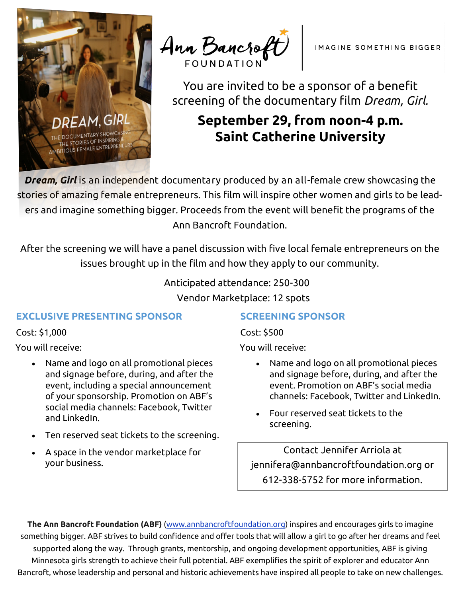

Ann Bancroft

You are invited to be a sponsor of a benefit screening of the documentary film *Dream, Girl.*

# **September 29, from noon-4 p.m. Saint Catherine University**

*Dream, Girl* is an independent documentary produced by an all-female crew showcasing the stories of amazing female entrepreneurs. This film will inspire other women and girls to be leaders and imagine something bigger. Proceeds from the event will benefit the programs of the Ann Bancroft Foundation.

After the screening we will have a panel discussion with five local female entrepreneurs on the issues brought up in the film and how they apply to our community.

Anticipated attendance: 250-300

Vendor Marketplace: 12 spots

### **EXCLUSIVE PRESENTING SPONSOR**

Cost: \$1,000

You will receive:

- Name and logo on all promotional pieces and signage before, during, and after the event, including a special announcement of your sponsorship. Promotion on ABF's social media channels: Facebook, Twitter and LinkedIn.
- Ten reserved seat tickets to the screening.
- A space in the vendor marketplace for your business.

## **SCREENING SPONSOR**

Cost: \$500

You will receive:

- Name and logo on all promotional pieces and signage before, during, and after the event. Promotion on ABF's social media channels: Facebook, Twitter and LinkedIn.
- Four reserved seat tickets to the screening.

Contact Jennifer Arriola at jennifera@annbancroftfoundation.org or 612-338-5752 for more information.

**The Ann Bancroft Foundation (ABF)** (www.annbancroftfoundation.org) inspires and encourages girls to imagine something bigger. ABF strives to build confidence and offer tools that will allow a girl to go after her dreams and feel supported along the way. Through grants, mentorship, and ongoing development opportunities, ABF is giving Minnesota girls strength to achieve their full potential. ABF exemplifies the spirit of explorer and educator Ann Bancroft, whose leadership and personal and historic achievements have inspired all people to take on new challenges.